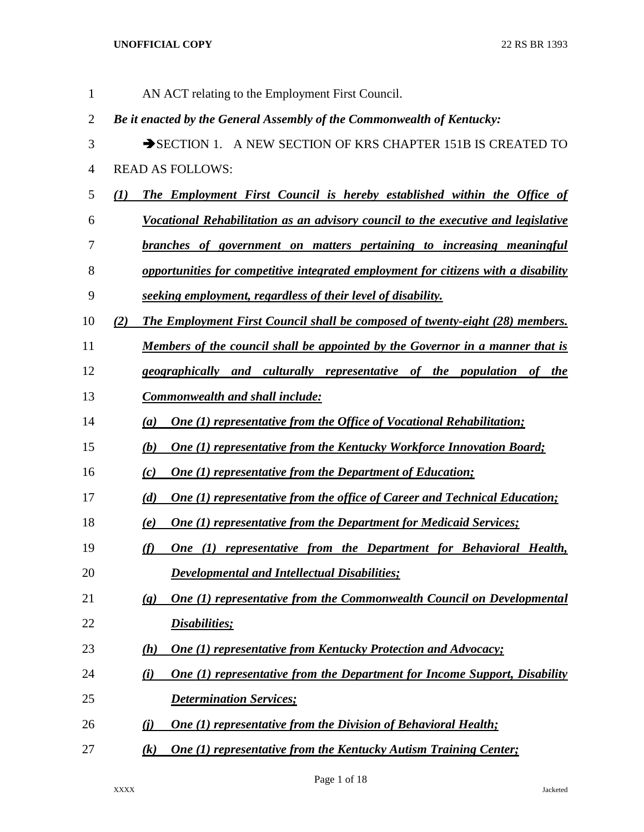| $\mathbf{1}$   | AN ACT relating to the Employment First Council.                                                            |
|----------------|-------------------------------------------------------------------------------------------------------------|
| $\overline{c}$ | Be it enacted by the General Assembly of the Commonwealth of Kentucky:                                      |
| 3              | SECTION 1. A NEW SECTION OF KRS CHAPTER 151B IS CREATED TO                                                  |
| $\overline{4}$ | <b>READ AS FOLLOWS:</b>                                                                                     |
| 5              | <b>The Employment First Council is hereby established within the Office of</b><br>$\mathbf{U}$              |
| 6              | Vocational Rehabilitation as an advisory council to the executive and legislative                           |
| 7              | branches of government on matters pertaining to increasing meaningful                                       |
| 8              | opportunities for competitive integrated employment for citizens with a disability                          |
| 9              | seeking employment, regardless of their level of disability.                                                |
| 10             | The Employment First Council shall be composed of twenty-eight (28) members.<br>(2)                         |
| 11             | Members of the council shall be appointed by the Governor in a manner that is                               |
| 12             | geographically and culturally representative of the population of the                                       |
| 13             | <b>Commonwealth and shall include:</b>                                                                      |
| 14             | <b>One (1) representative from the Office of Vocational Rehabilitation;</b><br>(a)                          |
| 15             | <b>One (1) representative from the Kentucky Workforce Innovation Board;</b><br>(b)                          |
| 16             | <b>One (1) representative from the Department of Education;</b><br>(c)                                      |
| 17             | <b>One (1) representative from the office of Career and Technical Education;</b><br>(d)                     |
| 18             | <b>One (1) representative from the Department for Medicaid Services;</b><br>(e)                             |
| 19             | One (1) representative from the Department for Behavioral Health,<br>(f)                                    |
| 20             | <b>Developmental and Intellectual Disabilities;</b>                                                         |
| 21             | <b>One (1) representative from the Commonwealth Council on Developmental</b><br>$\left( \mathbf{g} \right)$ |
| 22             | <b>Disabilities</b> ;                                                                                       |
| 23             | One (1) representative from Kentucky Protection and Advocacy;<br>(h)                                        |
| 24             | <b>One (1) representative from the Department for Income Support, Disability</b><br>(i)                     |
| 25             | <b>Determination Services;</b>                                                                              |
| 26             | <b>One (1) representative from the Division of Behavioral Health;</b><br>(i)                                |
| 27             | <b>One (1) representative from the Kentucky Autism Training Center;</b><br>(k)                              |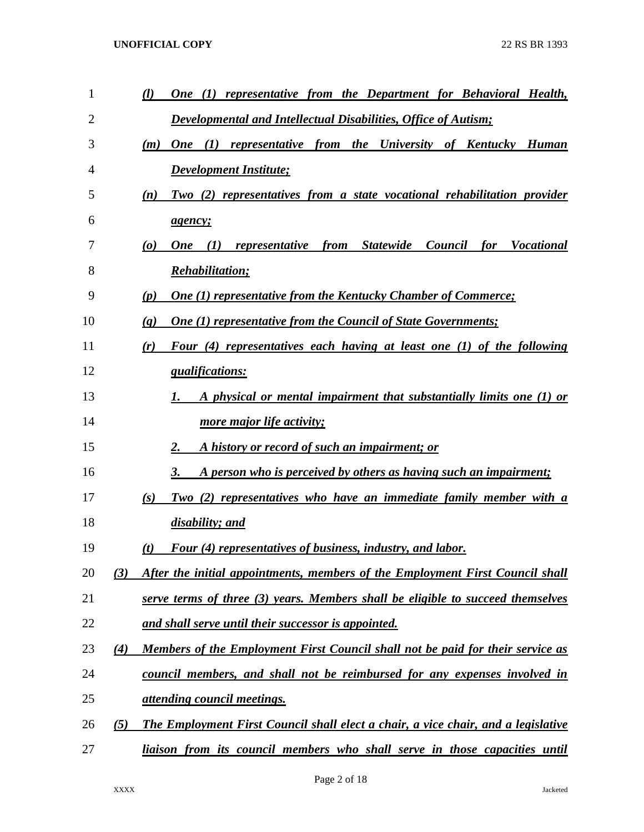| $\mathbf{1}$ |     | representative from the Department for Behavioral Health,<br>(l)<br><b>One</b><br>(I)                                                                          |
|--------------|-----|----------------------------------------------------------------------------------------------------------------------------------------------------------------|
| 2            |     | Developmental and Intellectual Disabilities, Office of Autism;                                                                                                 |
| 3            |     | (I)<br>representative from the<br>University of Kentucky<br><b>One</b><br><b>Human</b><br>(m)                                                                  |
| 4            |     | <b>Development Institute;</b>                                                                                                                                  |
| 5            |     | Two (2) representatives from a state vocational rehabilitation provider<br>(n)                                                                                 |
| 6            |     | <i>agency;</i>                                                                                                                                                 |
| 7            |     | (I)<br><i><b>Statewide</b></i><br>Council<br><i>for</i><br><b>Vocational</b><br>$\boldsymbol{\left( o \right)}$<br><i>representative</i><br>from<br><b>One</b> |
| 8            |     | <b>Rehabilitation;</b>                                                                                                                                         |
| 9            |     | <b>One (1) representative from the Kentucky Chamber of Commerce;</b><br>(p)                                                                                    |
| 10           |     | <b>One (1) representative from the Council of State Governments;</b><br>$\left( q\right)$                                                                      |
| 11           |     | Four (4) representatives each having at least one (1) of the following<br>(r)                                                                                  |
| 12           |     | qualifications:                                                                                                                                                |
| 13           |     | A physical or mental impairment that substantially limits one (1) or<br>1.                                                                                     |
| 14           |     | <u>more major life activity;</u>                                                                                                                               |
| 15           |     | A history or record of such an impairment; or<br>2.                                                                                                            |
| 16           |     | A person who is perceived by others as having such an impairment;<br>3.                                                                                        |
| 17           |     | Two (2) representatives who have an immediate family member with a<br>(s)                                                                                      |
| 18           |     | disability; and                                                                                                                                                |
| 19           |     | Four (4) representatives of business, industry, and labor.<br>(t)                                                                                              |
| 20           | (3) | After the initial appointments, members of the Employment First Council shall                                                                                  |
| 21           |     | serve terms of three (3) years. Members shall be eligible to succeed themselves                                                                                |
| 22           |     | and shall serve until their successor is appointed.                                                                                                            |
| 23           | (4) | Members of the Employment First Council shall not be paid for their service as                                                                                 |
| 24           |     | council members, and shall not be reimbursed for any expenses involved in                                                                                      |
| 25           |     | <i><u><b>attending council meetings.</b></u></i>                                                                                                               |
| 26           | (5) | The Employment First Council shall elect a chair, a vice chair, and a legislative                                                                              |
| 27           |     | liaison from its council members who shall serve in those capacities until                                                                                     |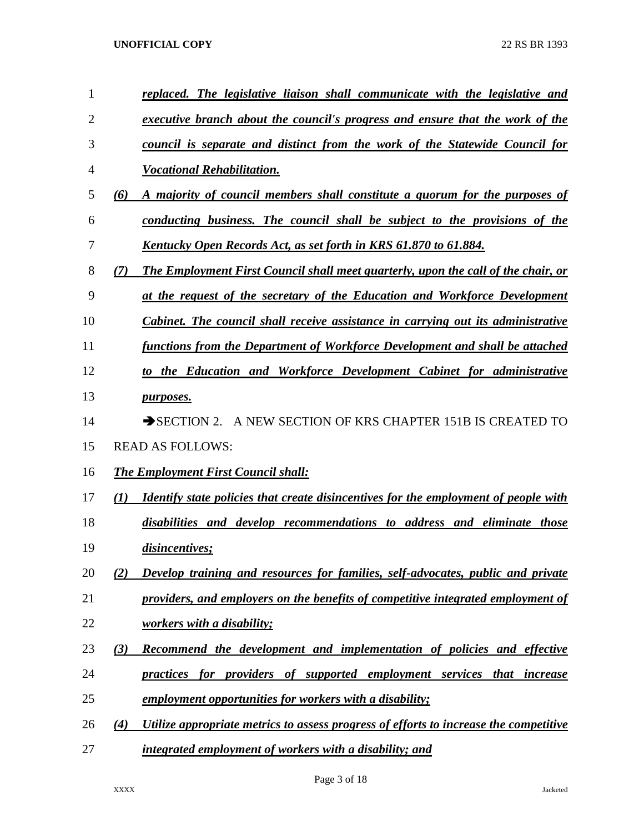| $\mathbf{1}$ | replaced. The legislative liaison shall communicate with the legislative and                      |
|--------------|---------------------------------------------------------------------------------------------------|
| 2            | executive branch about the council's progress and ensure that the work of the                     |
| 3            | council is separate and distinct from the work of the Statewide Council for                       |
| 4            | <b>Vocational Rehabilitation.</b>                                                                 |
| 5            | (6)<br>A majority of council members shall constitute a quorum for the purposes of                |
| 6            | conducting business. The council shall be subject to the provisions of the                        |
| 7            | Kentucky Open Records Act, as set forth in KRS 61.870 to 61.884.                                  |
| 8            | (7)<br><b>The Employment First Council shall meet quarterly, upon the call of the chair, or</b>   |
| 9            | at the request of the secretary of the Education and Workforce Development                        |
| 10           | Cabinet. The council shall receive assistance in carrying out its administrative                  |
| 11           | functions from the Department of Workforce Development and shall be attached                      |
| 12           | to the Education and Workforce Development Cabinet for administrative                             |
| 13           | <i>purposes.</i>                                                                                  |
| 14           | A NEW SECTION OF KRS CHAPTER 151B IS CREATED TO<br>$\rightarrow$ SECTION 2.                       |
| 15           | <b>READ AS FOLLOWS:</b>                                                                           |
| 16           | <b>The Employment First Council shall:</b>                                                        |
| 17           | (I)<br><b>Identify state policies that create disincentives for the employment of people with</b> |
| 18           | disabilities and develop recommendations to address and eliminate those                           |
| 19           | disincentives;                                                                                    |
| 20           | Develop training and resources for families, self-advocates, public and private<br>(2)            |
| 21           | providers, and employers on the benefits of competitive integrated employment of                  |
| 22           | <u>workers with a disability;</u>                                                                 |
| 23           | (3)<br>Recommend the development and implementation of policies and effective                     |
| 24           | practices for providers of supported employment services that increase                            |
| 25           | employment opportunities for workers with a disability;                                           |
| 26           | Utilize appropriate metrics to assess progress of efforts to increase the competitive<br>(4)      |
| 27           | integrated employment of workers with a disability; and                                           |

Page 3 of 18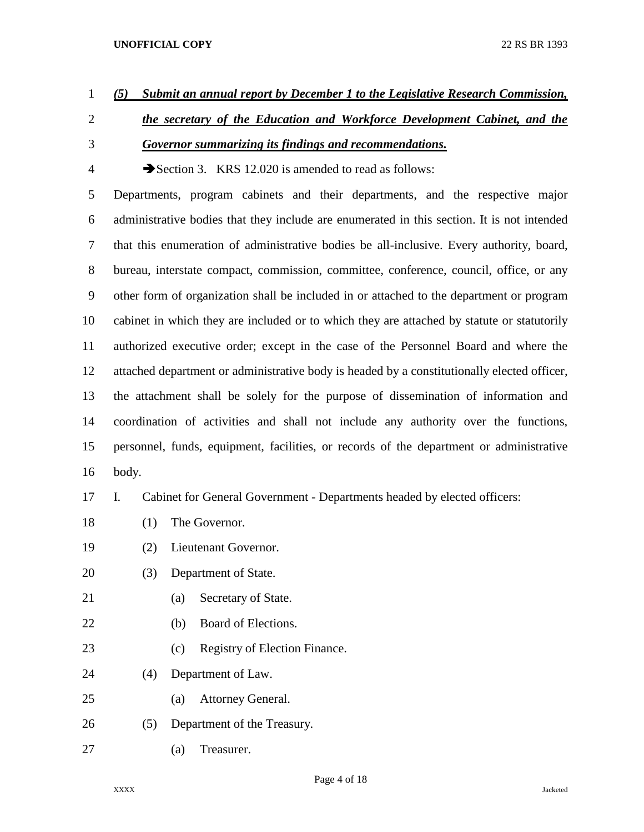# *(5) Submit an annual report by December 1 to the Legislative Research Commission,*

- *the secretary of the Education and Workforce Development Cabinet, and the Governor summarizing its findings and recommendations.*
- 4 Section 3. KRS 12.020 is amended to read as follows:

 Departments, program cabinets and their departments, and the respective major administrative bodies that they include are enumerated in this section. It is not intended that this enumeration of administrative bodies be all-inclusive. Every authority, board, bureau, interstate compact, commission, committee, conference, council, office, or any other form of organization shall be included in or attached to the department or program cabinet in which they are included or to which they are attached by statute or statutorily authorized executive order; except in the case of the Personnel Board and where the attached department or administrative body is headed by a constitutionally elected officer, the attachment shall be solely for the purpose of dissemination of information and coordination of activities and shall not include any authority over the functions, personnel, funds, equipment, facilities, or records of the department or administrative body.

I. Cabinet for General Government - Departments headed by elected officers:

- (1) The Governor.
- (2) Lieutenant Governor.
- (3) Department of State.
- (a) Secretary of State.
- (b) Board of Elections.
- 23 (c) Registry of Election Finance.
- (4) Department of Law.
- (a) Attorney General.
- (5) Department of the Treasury.
- (a) Treasurer.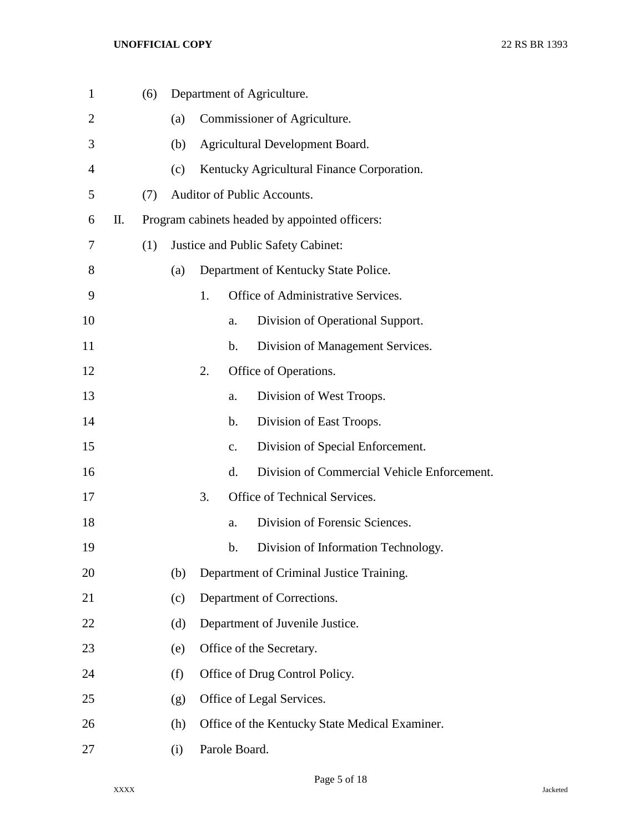| $\mathbf{1}$ |    | (6) |     |    |               | Department of Agriculture.                     |
|--------------|----|-----|-----|----|---------------|------------------------------------------------|
| 2            |    |     | (a) |    |               | Commissioner of Agriculture.                   |
| 3            |    |     | (b) |    |               | Agricultural Development Board.                |
| 4            |    |     | (c) |    |               | Kentucky Agricultural Finance Corporation.     |
| 5            |    | (7) |     |    |               | Auditor of Public Accounts.                    |
| 6            | П. |     |     |    |               | Program cabinets headed by appointed officers: |
| 7            |    | (1) |     |    |               | Justice and Public Safety Cabinet:             |
| 8            |    |     | (a) |    |               | Department of Kentucky State Police.           |
| 9            |    |     |     | 1. |               | Office of Administrative Services.             |
| 10           |    |     |     |    | a.            | Division of Operational Support.               |
| 11           |    |     |     |    | b.            | Division of Management Services.               |
| 12           |    |     |     | 2. |               | Office of Operations.                          |
| 13           |    |     |     |    | a.            | Division of West Troops.                       |
| 14           |    |     |     |    | b.            | Division of East Troops.                       |
| 15           |    |     |     |    | c.            | Division of Special Enforcement.               |
| 16           |    |     |     |    | d.            | Division of Commercial Vehicle Enforcement.    |
| 17           |    |     |     | 3. |               | Office of Technical Services.                  |
| 18           |    |     |     |    | a.            | Division of Forensic Sciences.                 |
| 19           |    |     |     |    | b.            | Division of Information Technology.            |
| 20           |    |     | (b) |    |               | Department of Criminal Justice Training.       |
| 21           |    |     | (c) |    |               | Department of Corrections.                     |
| 22           |    |     | (d) |    |               | Department of Juvenile Justice.                |
| 23           |    |     | (e) |    |               | Office of the Secretary.                       |
| 24           |    |     | (f) |    |               | Office of Drug Control Policy.                 |
| 25           |    |     | (g) |    |               | Office of Legal Services.                      |
| 26           |    |     | (h) |    |               | Office of the Kentucky State Medical Examiner. |
| 27           |    |     | (i) |    | Parole Board. |                                                |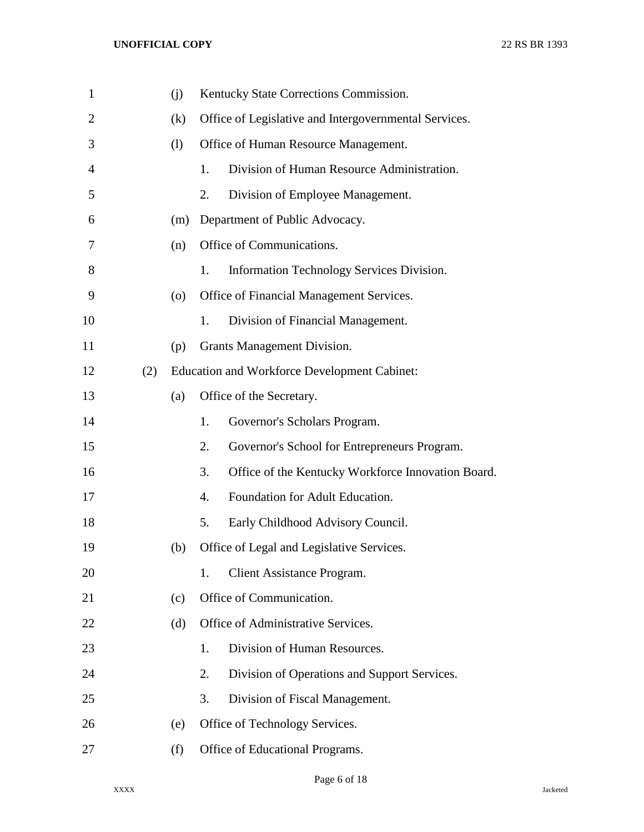| $\mathbf{1}$   |     | (j) |                  | Kentucky State Corrections Commission.                |
|----------------|-----|-----|------------------|-------------------------------------------------------|
| $\overline{2}$ |     | (k) |                  | Office of Legislative and Intergovernmental Services. |
| 3              |     | (1) |                  | Office of Human Resource Management.                  |
| 4              |     |     | 1.               | Division of Human Resource Administration.            |
| 5              |     |     | 2.               | Division of Employee Management.                      |
| 6              |     | (m) |                  | Department of Public Advocacy.                        |
| 7              |     | (n) |                  | Office of Communications.                             |
| 8              |     |     | 1.               | Information Technology Services Division.             |
| 9              |     | (0) |                  | Office of Financial Management Services.              |
| 10             |     |     | 1.               | Division of Financial Management.                     |
| 11             |     | (p) |                  | Grants Management Division.                           |
| 12             | (2) |     |                  | <b>Education and Workforce Development Cabinet:</b>   |
| 13             |     | (a) |                  | Office of the Secretary.                              |
| 14             |     |     | 1.               | Governor's Scholars Program.                          |
| 15             |     |     | 2.               | Governor's School for Entrepreneurs Program.          |
| 16             |     |     | 3.               | Office of the Kentucky Workforce Innovation Board.    |
| 17             |     |     | $\overline{4}$ . | Foundation for Adult Education.                       |
| 18             |     |     | 5.               | Early Childhood Advisory Council.                     |
| 19             |     | (b) |                  | Office of Legal and Legislative Services.             |
| 20             |     |     | 1.               | Client Assistance Program.                            |
| 21             |     | (c) |                  | Office of Communication.                              |
| 22             |     | (d) |                  | Office of Administrative Services.                    |
| 23             |     |     | 1.               | Division of Human Resources.                          |
| 24             |     |     | 2.               | Division of Operations and Support Services.          |
| 25             |     |     | 3.               | Division of Fiscal Management.                        |
| 26             |     | (e) |                  | Office of Technology Services.                        |
| 27             |     | (f) |                  | Office of Educational Programs.                       |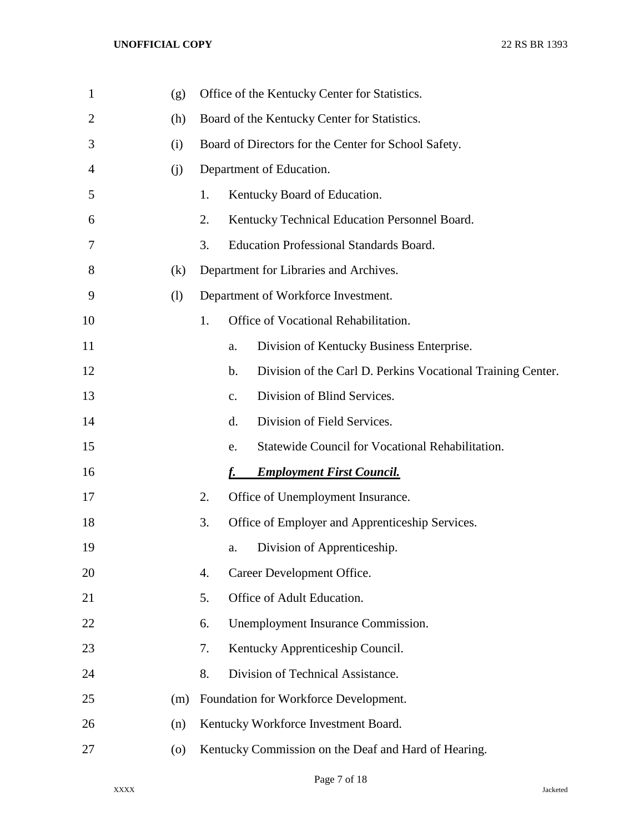| $\mathbf{1}$ | (g)                |    | Office of the Kentucky Center for Statistics.                     |
|--------------|--------------------|----|-------------------------------------------------------------------|
| 2            | (h)                |    | Board of the Kentucky Center for Statistics.                      |
| 3            | (i)                |    | Board of Directors for the Center for School Safety.              |
| 4            | (j)                |    | Department of Education.                                          |
| 5            |                    | 1. | Kentucky Board of Education.                                      |
| 6            |                    | 2. | Kentucky Technical Education Personnel Board.                     |
| 7            |                    | 3. | <b>Education Professional Standards Board.</b>                    |
| 8            | (k)                |    | Department for Libraries and Archives.                            |
| 9            | (1)                |    | Department of Workforce Investment.                               |
| 10           |                    | 1. | Office of Vocational Rehabilitation.                              |
| 11           |                    |    | Division of Kentucky Business Enterprise.<br>a.                   |
| 12           |                    |    | Division of the Carl D. Perkins Vocational Training Center.<br>b. |
| 13           |                    |    | Division of Blind Services.<br>$\mathbf{c}$ .                     |
| 14           |                    |    | d.<br>Division of Field Services.                                 |
| 15           |                    |    | Statewide Council for Vocational Rehabilitation.<br>e.            |
| 16           |                    |    | <b>Employment First Council.</b>                                  |
| 17           |                    | 2. | Office of Unemployment Insurance.                                 |
| 18           |                    | 3. | Office of Employer and Apprenticeship Services.                   |
| 19           |                    |    | Division of Apprenticeship.<br>a.                                 |
| 20           |                    | 4. | Career Development Office.                                        |
| 21           |                    | 5. | Office of Adult Education.                                        |
| 22           |                    | 6. | Unemployment Insurance Commission.                                |
| 23           |                    | 7. | Kentucky Apprenticeship Council.                                  |
| 24           |                    | 8. | Division of Technical Assistance.                                 |
| 25           | (m)                |    | Foundation for Workforce Development.                             |
| 26           | (n)                |    | Kentucky Workforce Investment Board.                              |
| 27           | $\left( 0 \right)$ |    | Kentucky Commission on the Deaf and Hard of Hearing.              |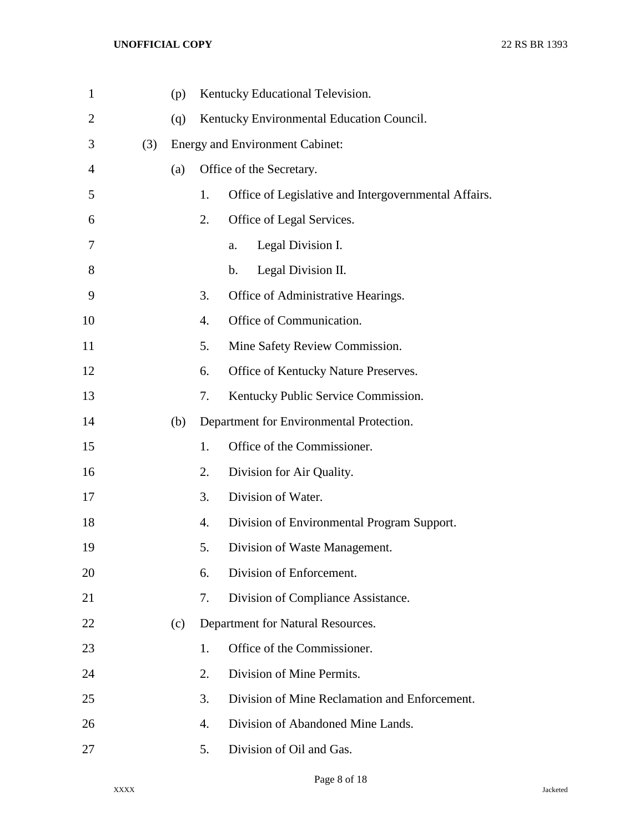| $\mathbf{1}$   |     | (p) |                  | Kentucky Educational Television.                     |
|----------------|-----|-----|------------------|------------------------------------------------------|
| $\overline{2}$ |     | (q) |                  | Kentucky Environmental Education Council.            |
| 3              | (3) |     |                  | <b>Energy and Environment Cabinet:</b>               |
| 4              |     | (a) |                  | Office of the Secretary.                             |
| 5              |     |     | 1.               | Office of Legislative and Intergovernmental Affairs. |
| 6              |     |     | 2.               | Office of Legal Services.                            |
| 7              |     |     |                  | Legal Division I.<br>a.                              |
| 8              |     |     |                  | Legal Division II.<br>$\mathbf b$ .                  |
| 9              |     |     | 3.               | Office of Administrative Hearings.                   |
| 10             |     |     | $\overline{4}$ . | Office of Communication.                             |
| 11             |     |     | 5.               | Mine Safety Review Commission.                       |
| 12             |     |     | 6.               | Office of Kentucky Nature Preserves.                 |
| 13             |     |     | 7.               | Kentucky Public Service Commission.                  |
| 14             |     | (b) |                  | Department for Environmental Protection.             |
| 15             |     |     | 1.               | Office of the Commissioner.                          |
| 16             |     |     | 2.               | Division for Air Quality.                            |
| 17             |     |     | 3.               | Division of Water.                                   |
| 18             |     |     | 4.               | Division of Environmental Program Support.           |
| 19             |     |     | 5.               | Division of Waste Management.                        |
| 20             |     |     | 6.               | Division of Enforcement.                             |
| 21             |     |     | 7.               | Division of Compliance Assistance.                   |
| 22             |     | (c) |                  | Department for Natural Resources.                    |
| 23             |     |     | 1.               | Office of the Commissioner.                          |
| 24             |     |     | 2.               | Division of Mine Permits.                            |
| 25             |     |     | 3.               | Division of Mine Reclamation and Enforcement.        |
| 26             |     |     | 4.               | Division of Abandoned Mine Lands.                    |
| 27             |     |     | 5.               | Division of Oil and Gas.                             |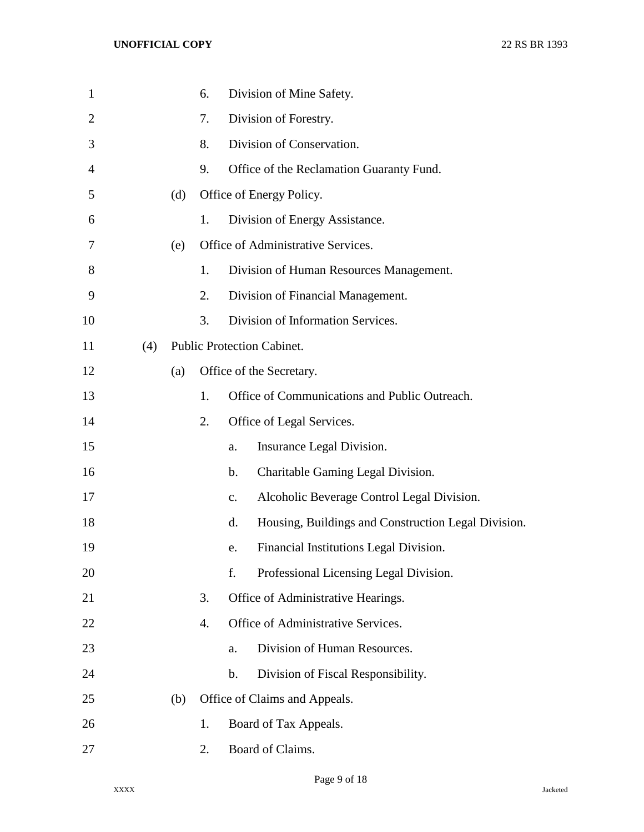| $\mathbf{1}$ |     |     | 6. |               | Division of Mine Safety.                            |
|--------------|-----|-----|----|---------------|-----------------------------------------------------|
| 2            |     |     | 7. |               | Division of Forestry.                               |
| 3            |     |     | 8. |               | Division of Conservation.                           |
| 4            |     |     | 9. |               | Office of the Reclamation Guaranty Fund.            |
| 5            |     | (d) |    |               | Office of Energy Policy.                            |
| 6            |     |     | 1. |               | Division of Energy Assistance.                      |
| 7            |     | (e) |    |               | Office of Administrative Services.                  |
| 8            |     |     | 1. |               | Division of Human Resources Management.             |
| 9            |     |     | 2. |               | Division of Financial Management.                   |
| 10           |     |     | 3. |               | Division of Information Services.                   |
| 11           | (4) |     |    |               | Public Protection Cabinet.                          |
| 12           |     | (a) |    |               | Office of the Secretary.                            |
| 13           |     |     | 1. |               | Office of Communications and Public Outreach.       |
| 14           |     |     | 2. |               | Office of Legal Services.                           |
| 15           |     |     |    | a.            | Insurance Legal Division.                           |
| 16           |     |     |    | b.            | Charitable Gaming Legal Division.                   |
| 17           |     |     |    | c.            | Alcoholic Beverage Control Legal Division.          |
| 18           |     |     |    | d.            | Housing, Buildings and Construction Legal Division. |
| 19           |     |     |    | e.            | Financial Institutions Legal Division.              |
| 20           |     |     |    | f.            | Professional Licensing Legal Division.              |
| 21           |     |     | 3. |               | Office of Administrative Hearings.                  |
| 22           |     |     | 4. |               | Office of Administrative Services.                  |
| 23           |     |     |    | a.            | Division of Human Resources.                        |
| 24           |     |     |    | $\mathbf b$ . | Division of Fiscal Responsibility.                  |
| 25           |     | (b) |    |               | Office of Claims and Appeals.                       |
| 26           |     |     | 1. |               | Board of Tax Appeals.                               |
| 27           |     |     | 2. |               | Board of Claims.                                    |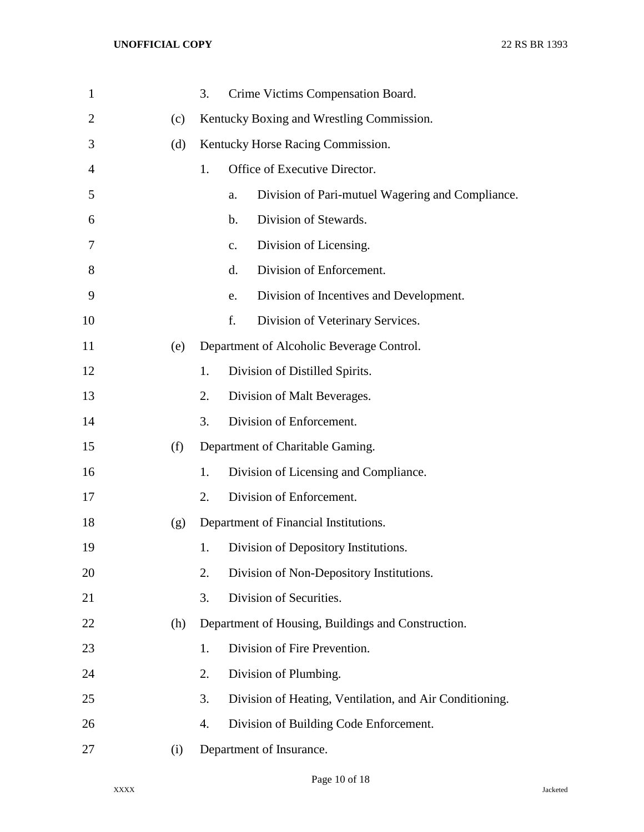| $\mathbf{1}$ |     | 3. |                | Crime Victims Compensation Board.                       |
|--------------|-----|----|----------------|---------------------------------------------------------|
| 2            | (c) |    |                | Kentucky Boxing and Wrestling Commission.               |
| 3            | (d) |    |                | Kentucky Horse Racing Commission.                       |
| 4            |     | 1. |                | Office of Executive Director.                           |
| 5            |     |    | a.             | Division of Pari-mutuel Wagering and Compliance.        |
| 6            |     |    | $\mathbf b$ .  | Division of Stewards.                                   |
| 7            |     |    | $\mathbf{c}$ . | Division of Licensing.                                  |
| 8            |     |    | d.             | Division of Enforcement.                                |
| 9            |     |    | e.             | Division of Incentives and Development.                 |
| 10           |     |    | f.             | Division of Veterinary Services.                        |
| 11           | (e) |    |                | Department of Alcoholic Beverage Control.               |
| 12           |     | 1. |                | Division of Distilled Spirits.                          |
| 13           |     | 2. |                | Division of Malt Beverages.                             |
| 14           |     | 3. |                | Division of Enforcement.                                |
| 15           | (f) |    |                | Department of Charitable Gaming.                        |
| 16           |     | 1. |                | Division of Licensing and Compliance.                   |
| 17           |     | 2. |                | Division of Enforcement.                                |
| 18           | (g) |    |                | Department of Financial Institutions.                   |
| 19           |     | 1. |                | Division of Depository Institutions.                    |
| 20           |     | 2. |                | Division of Non-Depository Institutions.                |
| 21           |     | 3. |                | Division of Securities.                                 |
| 22           | (h) |    |                | Department of Housing, Buildings and Construction.      |
| 23           |     | 1. |                | Division of Fire Prevention.                            |
| 24           |     | 2. |                | Division of Plumbing.                                   |
| 25           |     | 3. |                | Division of Heating, Ventilation, and Air Conditioning. |
| 26           |     | 4. |                | Division of Building Code Enforcement.                  |
| 27           | (i) |    |                | Department of Insurance.                                |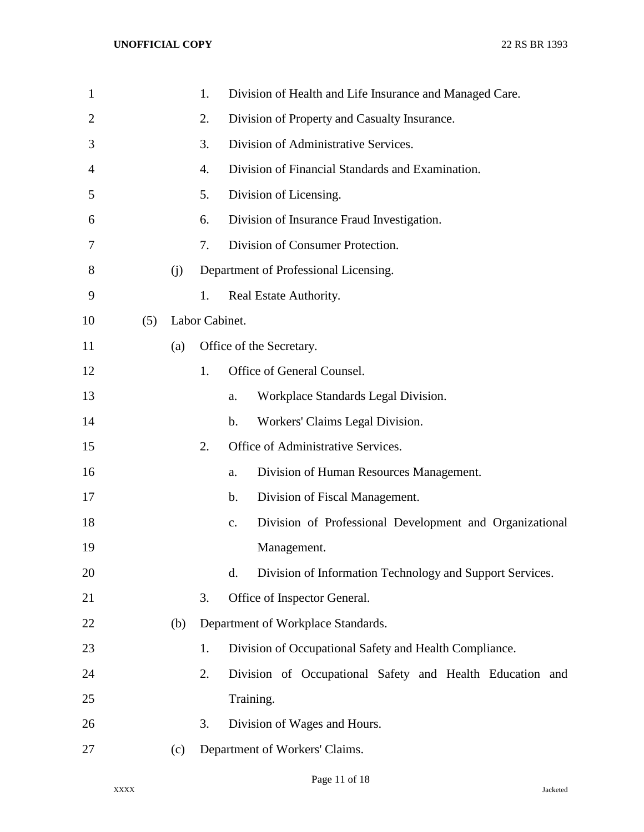| $\mathbf{1}$   |     |     | 1.             |                | Division of Health and Life Insurance and Managed Care.  |
|----------------|-----|-----|----------------|----------------|----------------------------------------------------------|
| $\overline{2}$ |     |     | 2.             |                | Division of Property and Casualty Insurance.             |
| 3              |     |     | 3.             |                | Division of Administrative Services.                     |
| 4              |     |     | 4.             |                | Division of Financial Standards and Examination.         |
| 5              |     |     | 5.             |                | Division of Licensing.                                   |
| 6              |     |     | 6.             |                | Division of Insurance Fraud Investigation.               |
| 7              |     |     | 7.             |                | Division of Consumer Protection.                         |
| 8              |     | (j) |                |                | Department of Professional Licensing.                    |
| 9              |     |     | 1.             |                | Real Estate Authority.                                   |
| 10             | (5) |     | Labor Cabinet. |                |                                                          |
| 11             |     | (a) |                |                | Office of the Secretary.                                 |
| 12             |     |     | 1.             |                | Office of General Counsel.                               |
| 13             |     |     |                | a.             | Workplace Standards Legal Division.                      |
| 14             |     |     |                | $\mathbf b$ .  | Workers' Claims Legal Division.                          |
| 15             |     |     | 2.             |                | Office of Administrative Services.                       |
| 16             |     |     |                | a.             | Division of Human Resources Management.                  |
| 17             |     |     |                | $\mathbf b$ .  | Division of Fiscal Management.                           |
| 18             |     |     |                | $\mathbf{c}$ . | Division of Professional Development and Organizational  |
| 19             |     |     |                |                | Management.                                              |
| 20             |     |     |                | d.             | Division of Information Technology and Support Services. |
| 21             |     |     | 3.             |                | Office of Inspector General.                             |
| 22             |     | (b) |                |                | Department of Workplace Standards.                       |
| 23             |     |     | 1.             |                | Division of Occupational Safety and Health Compliance.   |
| 24             |     |     | 2.             |                | Division of Occupational Safety and Health Education and |
| 25             |     |     |                |                | Training.                                                |
| 26             |     |     | 3.             |                | Division of Wages and Hours.                             |
| 27             |     | (c) |                |                | Department of Workers' Claims.                           |
|                |     |     |                |                |                                                          |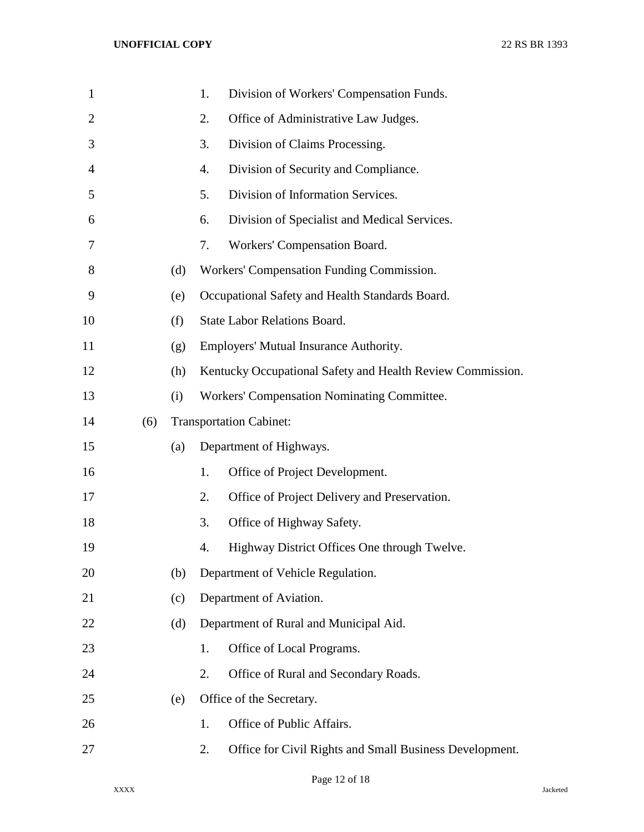| $\mathbf{1}$   |     |     | Division of Workers' Compensation Funds.<br>1.                |  |  |  |
|----------------|-----|-----|---------------------------------------------------------------|--|--|--|
| $\overline{2}$ |     |     | Office of Administrative Law Judges.<br>2.                    |  |  |  |
| 3              |     |     | Division of Claims Processing.<br>3.                          |  |  |  |
| $\overline{4}$ |     |     | Division of Security and Compliance.<br>4.                    |  |  |  |
| 5              |     |     | Division of Information Services.<br>5.                       |  |  |  |
| 6              |     |     | Division of Specialist and Medical Services.<br>6.            |  |  |  |
| 7              |     |     | Workers' Compensation Board.<br>7.                            |  |  |  |
| 8              |     | (d) | Workers' Compensation Funding Commission.                     |  |  |  |
| 9              |     | (e) | Occupational Safety and Health Standards Board.               |  |  |  |
| 10             |     | (f) | <b>State Labor Relations Board.</b>                           |  |  |  |
| 11             |     | (g) | Employers' Mutual Insurance Authority.                        |  |  |  |
| 12             |     | (h) | Kentucky Occupational Safety and Health Review Commission.    |  |  |  |
| 13             |     | (i) | Workers' Compensation Nominating Committee.                   |  |  |  |
| 14             | (6) |     | <b>Transportation Cabinet:</b>                                |  |  |  |
| 15             |     | (a) | Department of Highways.                                       |  |  |  |
| 16             |     |     | Office of Project Development.<br>1.                          |  |  |  |
| 17             |     |     | Office of Project Delivery and Preservation.<br>2.            |  |  |  |
| 18             |     |     | Office of Highway Safety.<br>3.                               |  |  |  |
| 19             |     |     | Highway District Offices One through Twelve.<br>4.            |  |  |  |
| 20             |     | (b) | Department of Vehicle Regulation.                             |  |  |  |
| 21             |     | (c) | Department of Aviation.                                       |  |  |  |
| 22             |     | (d) | Department of Rural and Municipal Aid.                        |  |  |  |
| 23             |     |     | Office of Local Programs.<br>1.                               |  |  |  |
| 24             |     |     | Office of Rural and Secondary Roads.<br>2.                    |  |  |  |
| 25             |     | (e) | Office of the Secretary.                                      |  |  |  |
| 26             |     |     | Office of Public Affairs.<br>1.                               |  |  |  |
| 27             |     |     | Office for Civil Rights and Small Business Development.<br>2. |  |  |  |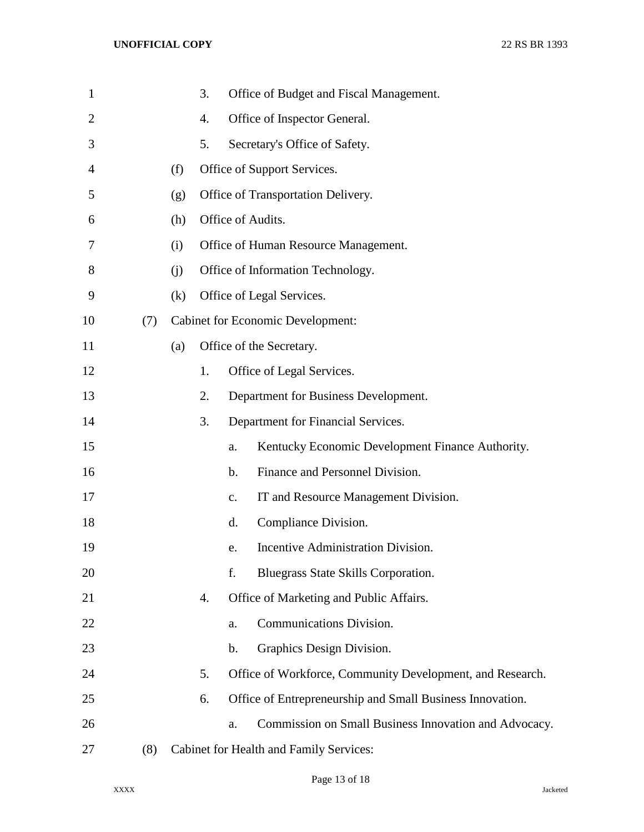| $\mathbf{1}$   |     |     | 3. |               | Office of Budget and Fiscal Management.                   |
|----------------|-----|-----|----|---------------|-----------------------------------------------------------|
| $\overline{2}$ |     |     | 4. |               | Office of Inspector General.                              |
| 3              |     |     | 5. |               | Secretary's Office of Safety.                             |
| 4              |     | (f) |    |               | Office of Support Services.                               |
| 5              |     | (g) |    |               | Office of Transportation Delivery.                        |
| 6              |     | (h) |    |               | Office of Audits.                                         |
| 7              |     | (i) |    |               | Office of Human Resource Management.                      |
| 8              |     | (i) |    |               | Office of Information Technology.                         |
| 9              |     | (k) |    |               | Office of Legal Services.                                 |
| 10             | (7) |     |    |               | <b>Cabinet for Economic Development:</b>                  |
| 11             |     | (a) |    |               | Office of the Secretary.                                  |
| 12             |     |     | 1. |               | Office of Legal Services.                                 |
| 13             |     |     | 2. |               | Department for Business Development.                      |
| 14             |     |     | 3. |               | Department for Financial Services.                        |
| 15             |     |     |    | a.            | Kentucky Economic Development Finance Authority.          |
| 16             |     |     |    | $\mathbf b$ . | Finance and Personnel Division.                           |
| 17             |     |     |    | c.            | IT and Resource Management Division.                      |
| 18             |     |     |    | d.            | Compliance Division.                                      |
| 19             |     |     |    | e.            | Incentive Administration Division.                        |
| 20             |     |     |    | f.            | Bluegrass State Skills Corporation.                       |
| 21             |     |     | 4. |               | Office of Marketing and Public Affairs.                   |
| 22             |     |     |    | a.            | Communications Division.                                  |
| 23             |     |     |    | $\mathbf b$ . | Graphics Design Division.                                 |
| 24             |     |     | 5. |               | Office of Workforce, Community Development, and Research. |
| 25             |     |     | 6. |               | Office of Entrepreneurship and Small Business Innovation. |
| 26             |     |     |    | a.            | Commission on Small Business Innovation and Advocacy.     |
| 27             | (8) |     |    |               | Cabinet for Health and Family Services:                   |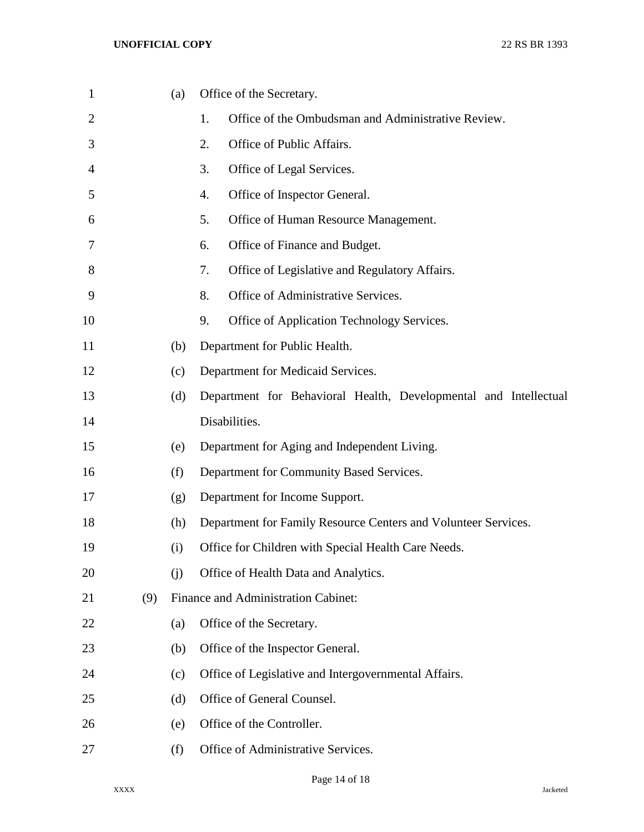| $\mathbf{1}$   |     | (a) | Office of the Secretary.                                         |  |
|----------------|-----|-----|------------------------------------------------------------------|--|
| $\overline{2}$ |     |     | 1.<br>Office of the Ombudsman and Administrative Review.         |  |
| 3              |     |     | 2.<br>Office of Public Affairs.                                  |  |
| 4              |     |     | 3.<br>Office of Legal Services.                                  |  |
| 5              |     |     | 4.<br>Office of Inspector General.                               |  |
| 6              |     |     | 5.<br>Office of Human Resource Management.                       |  |
| 7              |     |     | Office of Finance and Budget.<br>6.                              |  |
| 8              |     |     | 7.<br>Office of Legislative and Regulatory Affairs.              |  |
| 9              |     |     | 8.<br>Office of Administrative Services.                         |  |
| 10             |     |     | 9.<br>Office of Application Technology Services.                 |  |
| 11             |     | (b) | Department for Public Health.                                    |  |
| 12             |     | (c) | Department for Medicaid Services.                                |  |
| 13             |     | (d) | Department for Behavioral Health, Developmental and Intellectual |  |
| 14             |     |     | Disabilities.                                                    |  |
| 15             |     | (e) | Department for Aging and Independent Living.                     |  |
| 16             |     | (f) | Department for Community Based Services.                         |  |
| 17             |     | (g) | Department for Income Support.                                   |  |
| 18             |     | (h) | Department for Family Resource Centers and Volunteer Services.   |  |
| 19             |     | (i) | Office for Children with Special Health Care Needs.              |  |
| 20             |     | (j) | Office of Health Data and Analytics.                             |  |
| 21             | (9) |     | Finance and Administration Cabinet:                              |  |
| 22             |     | (a) | Office of the Secretary.                                         |  |
| 23             |     | (b) | Office of the Inspector General.                                 |  |
| 24             |     | (c) | Office of Legislative and Intergovernmental Affairs.             |  |
| 25             |     | (d) | Office of General Counsel.                                       |  |
| 26             |     | (e) | Office of the Controller.                                        |  |
| 27             |     | (f) | Office of Administrative Services.                               |  |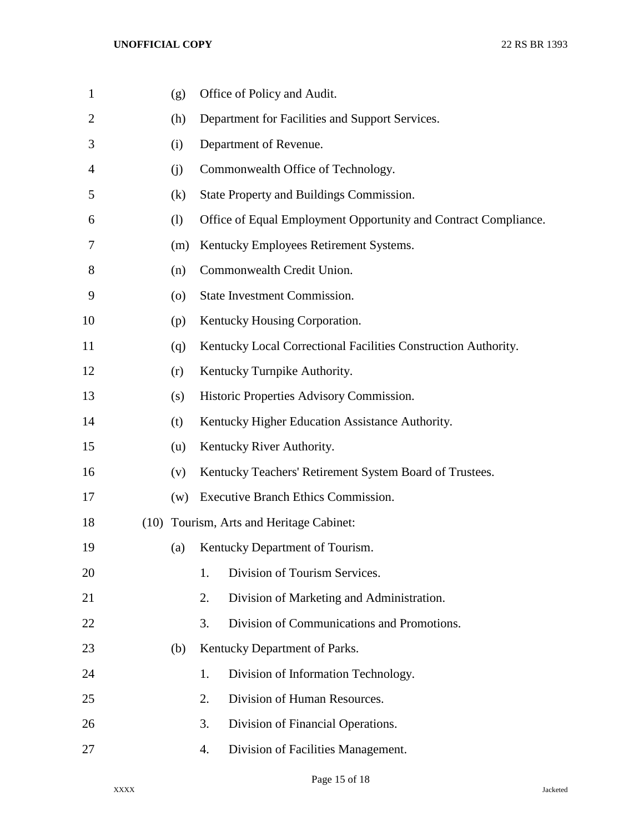| $\mathbf{1}$ | (g) | Office of Policy and Audit.                                     |
|--------------|-----|-----------------------------------------------------------------|
| 2            | (h) | Department for Facilities and Support Services.                 |
| 3            | (i) | Department of Revenue.                                          |
| 4            | (i) | Commonwealth Office of Technology.                              |
| 5            | (k) | State Property and Buildings Commission.                        |
| 6            | (1) | Office of Equal Employment Opportunity and Contract Compliance. |
| 7            | (m) | Kentucky Employees Retirement Systems.                          |
| 8            | (n) | Commonwealth Credit Union.                                      |
| 9            | (0) | State Investment Commission.                                    |
| 10           | (p) | Kentucky Housing Corporation.                                   |
| 11           | (q) | Kentucky Local Correctional Facilities Construction Authority.  |
| 12           | (r) | Kentucky Turnpike Authority.                                    |
| 13           | (s) | Historic Properties Advisory Commission.                        |
| 14           | (t) | Kentucky Higher Education Assistance Authority.                 |
| 15           | (u) | Kentucky River Authority.                                       |
| 16           | (v) | Kentucky Teachers' Retirement System Board of Trustees.         |
| 17           | (w) | Executive Branch Ethics Commission.                             |
| 18           |     | (10) Tourism, Arts and Heritage Cabinet:                        |
| 19           | (a) | Kentucky Department of Tourism.                                 |
| 20           |     | Division of Tourism Services.<br>1.                             |
| 21           |     | 2.<br>Division of Marketing and Administration.                 |
| 22           |     | Division of Communications and Promotions.<br>3.                |
| 23           | (b) | Kentucky Department of Parks.                                   |
| 24           |     | 1.<br>Division of Information Technology.                       |
| 25           |     | Division of Human Resources.<br>2.                              |
| 26           |     | 3.<br>Division of Financial Operations.                         |
| 27           |     | Division of Facilities Management.<br>4.                        |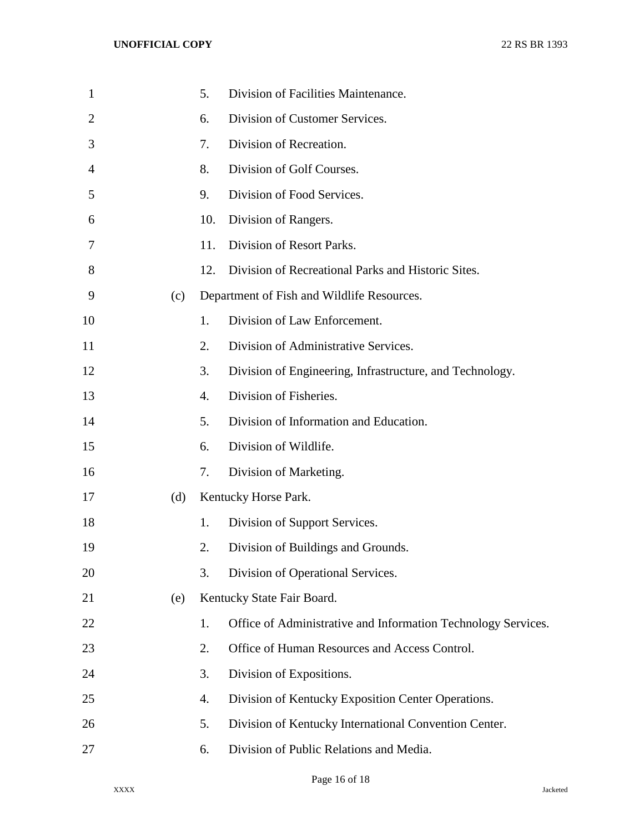| $\mathbf{1}$   |     | 5.               | Division of Facilities Maintenance.                           |
|----------------|-----|------------------|---------------------------------------------------------------|
| $\overline{2}$ |     | 6.               | Division of Customer Services.                                |
| 3              |     | 7.               | Division of Recreation.                                       |
| 4              |     | 8.               | Division of Golf Courses.                                     |
| 5              |     | 9.               | Division of Food Services.                                    |
| 6              |     | 10.              | Division of Rangers.                                          |
| 7              |     | 11.              | Division of Resort Parks.                                     |
| 8              |     | 12.              | Division of Recreational Parks and Historic Sites.            |
| 9              | (c) |                  | Department of Fish and Wildlife Resources.                    |
| 10             |     | 1.               | Division of Law Enforcement.                                  |
| 11             |     | $\overline{2}$ . | Division of Administrative Services.                          |
| 12             |     | 3.               | Division of Engineering, Infrastructure, and Technology.      |
| 13             |     | $\overline{4}$ . | Division of Fisheries.                                        |
| 14             |     | 5.               | Division of Information and Education.                        |
| 15             |     | 6.               | Division of Wildlife.                                         |
| 16             |     | 7.               | Division of Marketing.                                        |
| 17             | (d) |                  | Kentucky Horse Park.                                          |
| 18             |     | 1.               | Division of Support Services.                                 |
| 19             |     | 2.               | Division of Buildings and Grounds.                            |
| 20             |     | 3.               | Division of Operational Services.                             |
| 21             | (e) |                  | Kentucky State Fair Board.                                    |
| 22             |     | 1.               | Office of Administrative and Information Technology Services. |
| 23             |     | 2.               | Office of Human Resources and Access Control.                 |
| 24             |     | 3.               | Division of Expositions.                                      |
| 25             |     | 4.               | Division of Kentucky Exposition Center Operations.            |
| 26             |     | 5.               | Division of Kentucky International Convention Center.         |
| 27             |     | 6.               | Division of Public Relations and Media.                       |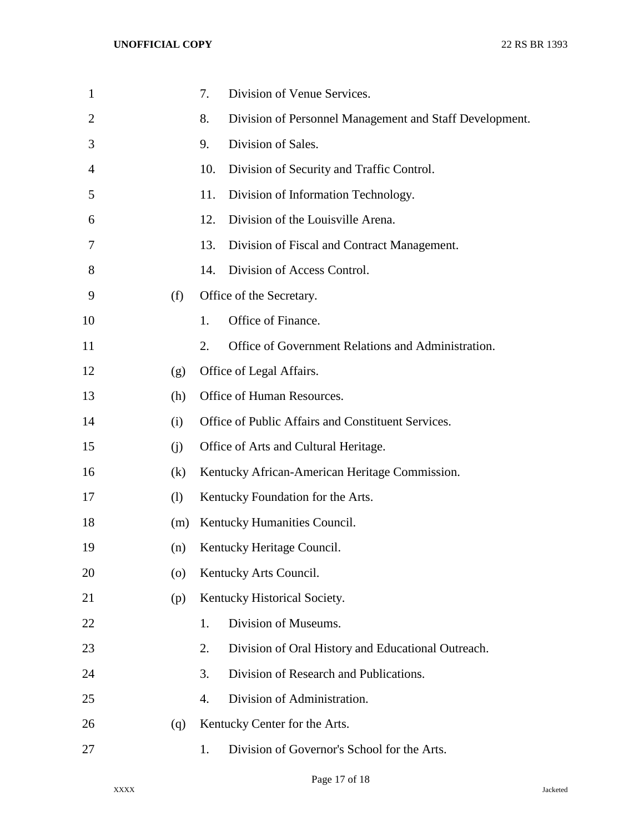| $\mathbf{1}$   |         | Division of Venue Services.<br>7.                             |
|----------------|---------|---------------------------------------------------------------|
| $\overline{2}$ |         | 8.<br>Division of Personnel Management and Staff Development. |
| 3              |         | Division of Sales.<br>9.                                      |
| 4              |         | 10.<br>Division of Security and Traffic Control.              |
| 5              |         | 11.<br>Division of Information Technology.                    |
| 6              |         | Division of the Louisville Arena.<br>12.                      |
| 7              |         | 13.<br>Division of Fiscal and Contract Management.            |
| 8              |         | Division of Access Control.<br>14.                            |
| 9              | (f)     | Office of the Secretary.                                      |
| 10             |         | Office of Finance.<br>1.                                      |
| 11             |         | 2.<br>Office of Government Relations and Administration.      |
| 12             | (g)     | Office of Legal Affairs.                                      |
| 13             | (h)     | Office of Human Resources.                                    |
| 14             | (i)     | Office of Public Affairs and Constituent Services.            |
| 15             | (i)     | Office of Arts and Cultural Heritage.                         |
| 16             | (k)     | Kentucky African-American Heritage Commission.                |
| 17             | (1)     | Kentucky Foundation for the Arts.                             |
| 18             | (m)     | Kentucky Humanities Council.                                  |
| 19             | (n)     | Kentucky Heritage Council.                                    |
| 20             | $\circ$ | Kentucky Arts Council.                                        |
| 21             | (p)     | Kentucky Historical Society.                                  |
| 22             |         | Division of Museums.<br>1.                                    |
| 23             |         | Division of Oral History and Educational Outreach.<br>2.      |
| 24             |         | Division of Research and Publications.<br>3.                  |
| 25             |         | Division of Administration.<br>4.                             |
| 26             | (q)     | Kentucky Center for the Arts.                                 |
| 27             |         | Division of Governor's School for the Arts.<br>1.             |